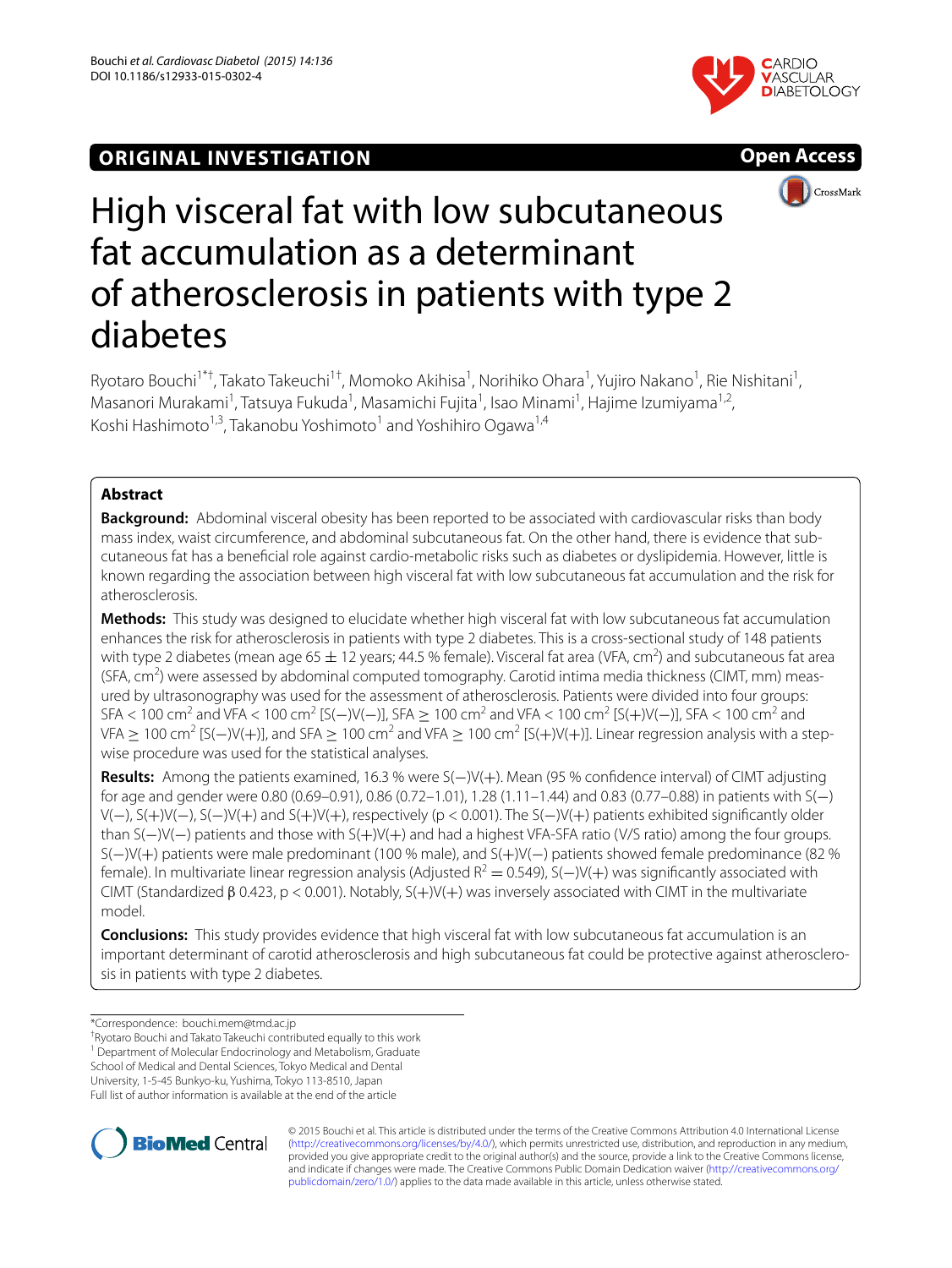







# High visceral fat with low subcutaneous fat accumulation as a determinant of atherosclerosis in patients with type 2 diabetes

Ryotaro Bouchi<sup>1\*†</sup>, Takato Takeuchi<sup>1†</sup>, Momoko Akihisa<sup>1</sup>, Norihiko Ohara<sup>1</sup>, Yujiro Nakano<sup>1</sup>, Rie Nishitani<sup>1</sup>, Masanori Murakami<sup>1</sup>, Tatsuya Fukuda<sup>1</sup>, Masamichi Fujita<sup>1</sup>, Isao Minami<sup>1</sup>, Hajime Izumiyama<sup>1,2</sup>, Koshi Hashimoto<sup>1,3</sup>, Takanobu Yoshimoto<sup>1</sup> and Yoshihiro Ogawa<sup>1,4</sup>

# **Abstract**

**Background:** Abdominal visceral obesity has been reported to be associated with cardiovascular risks than body mass index, waist circumference, and abdominal subcutaneous fat. On the other hand, there is evidence that subcutaneous fat has a beneficial role against cardio-metabolic risks such as diabetes or dyslipidemia. However, little is known regarding the association between high visceral fat with low subcutaneous fat accumulation and the risk for atherosclerosis.

**Methods:** This study was designed to elucidate whether high visceral fat with low subcutaneous fat accumulation enhances the risk for atherosclerosis in patients with type 2 diabetes. This is a cross-sectional study of 148 patients with type 2 diabetes (mean age 65  $\pm$  12 years; 44.5 % female). Visceral fat area (VFA, cm<sup>2</sup>) and subcutaneous fat area (SFA, cm<sup>2</sup>) were assessed by abdominal computed tomography. Carotid intima media thickness (CIMT, mm) measured by ultrasonography was used for the assessment of atherosclerosis. Patients were divided into four groups:  $SFA < 100 \text{ cm}^2$  and VFA  $< 100 \text{ cm}^2$  [S(-)V(-)],  $SFA \ge 100 \text{ cm}^2$  and VFA  $< 100 \text{ cm}^2$  [S(+)V(-)], SFA  $< 100 \text{ cm}^2$  and VFA  $\geq 100$  cm<sup>2</sup> [S(-)V(+)], and SFA  $\geq 100$  cm<sup>2</sup> and VFA  $\geq 100$  cm<sup>2</sup> [S(+)V(+)]. Linear regression analysis with a stepwise procedure was used for the statistical analyses.

**Results:** Among the patients examined, 16.3 % were S(−)V(+). Mean (95 % confidence interval) of CIMT adjusting for age and gender were 0.80 (0.69–0.91), 0.86 (0.72–1.01), 1.28 (1.11–1.44) and 0.83 (0.77–0.88) in patients with S(−) V(−), S(+)V(−), S(−)V(+) and S(+)V(+), respectively (p < 0.001). The S(−)V(+) patients exhibited significantly older than S(−)V(−) patients and those with S(+)V(+) and had a highest VFA-SFA ratio (V/S ratio) among the four groups. S(−)V(+) patients were male predominant (100 % male), and S(+)V(−) patients showed female predominance (82 % female). In multivariate linear regression analysis (Adjusted  $R^2 = 0.549$ ), S(-)V(+) was significantly associated with CIMT (Standardized β 0.423, p < 0.001). Notably, S(+)V(+) was inversely associated with CIMT in the multivariate model.

**Conclusions:** This study provides evidence that high visceral fat with low subcutaneous fat accumulation is an important determinant of carotid atherosclerosis and high subcutaneous fat could be protective against atherosclerosis in patients with type 2 diabetes.

School of Medical and Dental Sciences, Tokyo Medical and Dental

University, 1-5-45 Bunkyo-ku, Yushima, Tokyo 113-8510, Japan Full list of author information is available at the end of the article



© 2015 Bouchi et al. This article is distributed under the terms of the Creative Commons Attribution 4.0 International License [\(http://creativecommons.org/licenses/by/4.0/\)](http://creativecommons.org/licenses/by/4.0/), which permits unrestricted use, distribution, and reproduction in any medium, provided you give appropriate credit to the original author(s) and the source, provide a link to the Creative Commons license, and indicate if changes were made. The Creative Commons Public Domain Dedication waiver ([http://creativecommons.org/](http://creativecommons.org/publicdomain/zero/1.0/) [publicdomain/zero/1.0/](http://creativecommons.org/publicdomain/zero/1.0/)) applies to the data made available in this article, unless otherwise stated.

<sup>\*</sup>Correspondence: bouchi.mem@tmd.ac.jp

<sup>†</sup> Ryotaro Bouchi and Takato Takeuchi contributed equally to this work

<sup>&</sup>lt;sup>1</sup> Department of Molecular Endocrinology and Metabolism, Graduate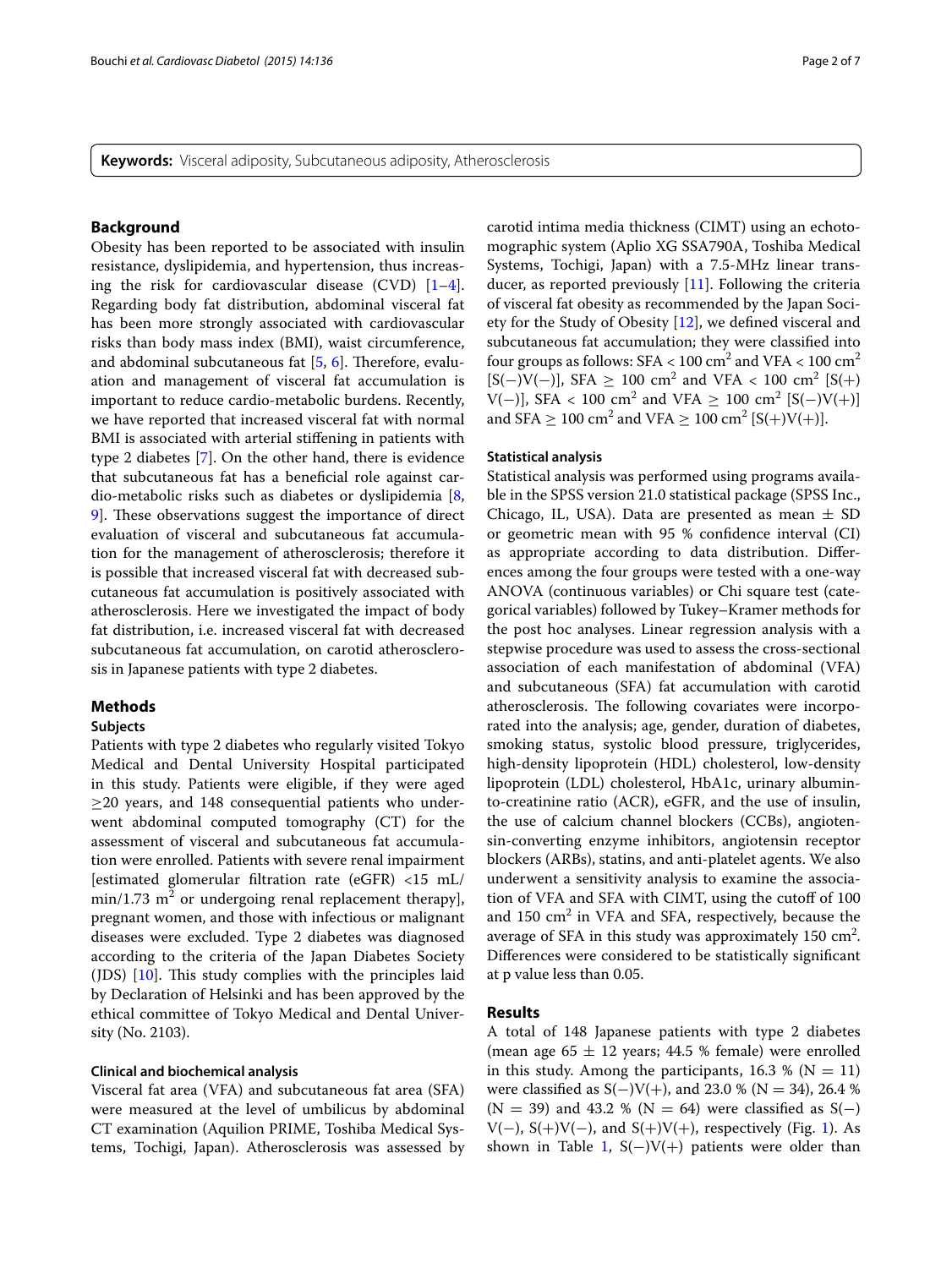# **Background**

Obesity has been reported to be associated with insulin resistance, dyslipidemia, and hypertension, thus increasing the risk for cardiovascular disease  $(CVD)$  [[1–](#page-5-2)[4](#page-5-3)]. Regarding body fat distribution, abdominal visceral fat has been more strongly associated with cardiovascular risks than body mass index (BMI), waist circumference, and abdominal subcutaneous fat [\[5](#page-5-4), [6](#page-5-5)]. Therefore, evaluation and management of visceral fat accumulation is important to reduce cardio-metabolic burdens. Recently, we have reported that increased visceral fat with normal BMI is associated with arterial stiffening in patients with type 2 diabetes [\[7](#page-5-6)]. On the other hand, there is evidence that subcutaneous fat has a beneficial role against cardio-metabolic risks such as diabetes or dyslipidemia [[8,](#page-5-7) [9\]](#page-5-8). These observations suggest the importance of direct evaluation of visceral and subcutaneous fat accumulation for the management of atherosclerosis; therefore it is possible that increased visceral fat with decreased subcutaneous fat accumulation is positively associated with atherosclerosis. Here we investigated the impact of body fat distribution, i.e. increased visceral fat with decreased subcutaneous fat accumulation, on carotid atherosclerosis in Japanese patients with type 2 diabetes.

# **Methods**

# **Subjects**

Patients with type 2 diabetes who regularly visited Tokyo Medical and Dental University Hospital participated in this study. Patients were eligible, if they were aged  $\geq$ 20 years, and 148 consequential patients who underwent abdominal computed tomography (CT) for the assessment of visceral and subcutaneous fat accumulation were enrolled. Patients with severe renal impairment [estimated glomerular filtration rate (eGFR) <15 mL/  $min/1.73$   $m^2$  or undergoing renal replacement therapy], pregnant women, and those with infectious or malignant diseases were excluded. Type 2 diabetes was diagnosed according to the criteria of the Japan Diabetes Society (JDS) [\[10](#page-5-9)]. This study complies with the principles laid by Declaration of Helsinki and has been approved by the ethical committee of Tokyo Medical and Dental University (No. 2103).

# **Clinical and biochemical analysis**

Visceral fat area (VFA) and subcutaneous fat area (SFA) were measured at the level of umbilicus by abdominal CT examination (Aquilion PRIME, Toshiba Medical Systems, Tochigi, Japan). Atherosclerosis was assessed by

carotid intima media thickness (CIMT) using an echotomographic system (Aplio XG SSA790A, Toshiba Medical Systems, Tochigi, Japan) with a 7.5-MHz linear transducer, as reported previously [\[11](#page-5-0)]. Following the criteria of visceral fat obesity as recommended by the Japan Society for the Study of Obesity [[12](#page-5-1)], we defined visceral and subcutaneous fat accumulation; they were classified into four groups as follows:  $SFA < 100 \text{ cm}^2$  and  $VFA < 100 \text{ cm}^2$  $[S(-)V(-)]$ , SFA  $\geq 100 \text{ cm}^2$  and VFA <  $100 \text{ cm}^2$   $[S(+)]$  $V(-)$ ], SFA < 100 cm<sup>2</sup> and VFA ≥ 100 cm<sup>2</sup> [S(-)V(+)] and SFA  $\geq 100 \text{ cm}^2$  and VFA  $\geq 100 \text{ cm}^2$  [S(+)V(+)].

# **Statistical analysis**

Statistical analysis was performed using programs available in the SPSS version 21.0 statistical package (SPSS Inc., Chicago, IL, USA). Data are presented as mean  $\pm$  SD or geometric mean with 95 % confidence interval (CI) as appropriate according to data distribution. Differences among the four groups were tested with a one-way ANOVA (continuous variables) or Chi square test (categorical variables) followed by Tukey–Kramer methods for the post hoc analyses. Linear regression analysis with a stepwise procedure was used to assess the cross-sectional association of each manifestation of abdominal (VFA) and subcutaneous (SFA) fat accumulation with carotid atherosclerosis. The following covariates were incorporated into the analysis; age, gender, duration of diabetes, smoking status, systolic blood pressure, triglycerides, high-density lipoprotein (HDL) cholesterol, low-density lipoprotein (LDL) cholesterol, HbA1c, urinary albuminto-creatinine ratio (ACR), eGFR, and the use of insulin, the use of calcium channel blockers (CCBs), angiotensin-converting enzyme inhibitors, angiotensin receptor blockers (ARBs), statins, and anti-platelet agents. We also underwent a sensitivity analysis to examine the association of VFA and SFA with CIMT, using the cutoff of 100 and 150 cm<sup>2</sup> in VFA and SFA, respectively, because the average of SFA in this study was approximately  $150 \text{ cm}^2$ . Differences were considered to be statistically significant at p value less than 0.05.

# **Results**

A total of 148 Japanese patients with type 2 diabetes (mean age  $65 \pm 12$  years; 44.5 % female) were enrolled in this study. Among the participants, 16.3 % ( $N = 11$ ) were classified as  $S(-)V(+)$ , and 23.0 % (N = 34), 26.4 % (N = 39) and 43.2 % (N = 64) were classified as  $S(-)$  $V(-)$ , S(+)V(-), and S(+)V(+), respectively (Fig. [1\)](#page-2-0). As shown in Table [1,](#page-2-1)  $S(-)V(+)$  patients were older than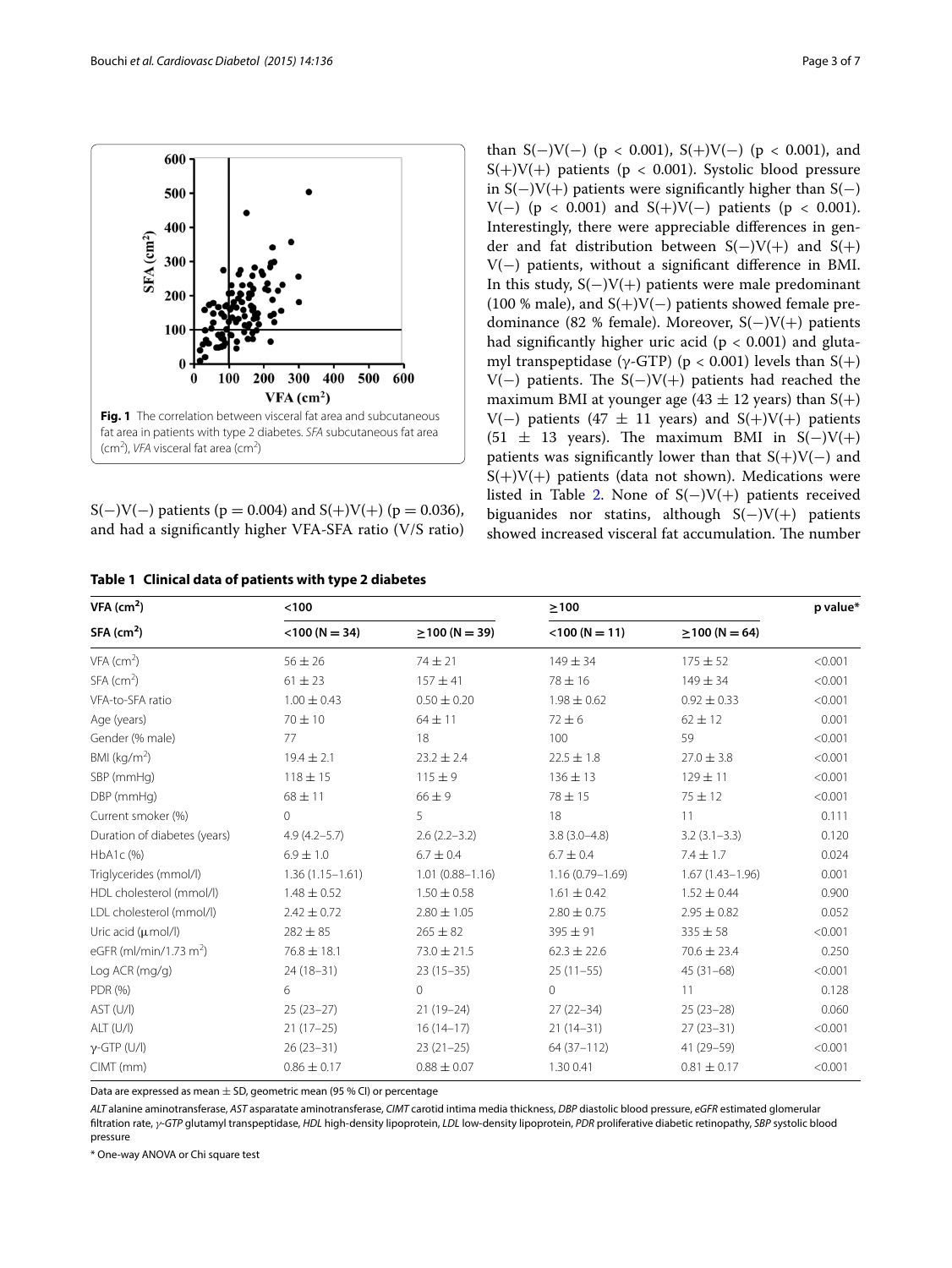

<span id="page-2-0"></span>S(-)V(-) patients (p = 0.004) and S(+)V(+) (p = 0.036), and had a significantly higher VFA-SFA ratio (V/S ratio)

## <span id="page-2-1"></span>**Table 1 Clinical data of patients with type 2 diabetes**

than S(-)V(-) (p < 0.001), S(+)V(-) (p < 0.001), and  $S(+)V(+)$  patients (p < 0.001). Systolic blood pressure in  $S(−)V(+)$  patients were significantly higher than  $S(−)$ V(−) (p < 0.001) and S(+)V(−) patients (p < 0.001). Interestingly, there were appreciable differences in gender and fat distribution between S(−)V(+) and S(+) V(−) patients, without a significant difference in BMI. In this study,  $S(-)V(+)$  patients were male predominant (100 % male), and  $S(+)V(-)$  patients showed female predominance (82 % female). Moreover,  $S(-)V(+)$  patients had significantly higher uric acid ( $p < 0.001$ ) and glutamyl transpeptidase (γ-GTP) ( $p < 0.001$ ) levels than S(+) V(−) patients. The S(−)V(+) patients had reached the maximum BMI at younger age (43  $\pm$  12 years) than S(+) V(−) patients (47  $\pm$  11 years) and S(+)V(+) patients  $(51 \pm 13 \text{ years})$ . The maximum BMI in S(-)V(+) patients was significantly lower than that  $S(+)V(-)$  and  $S(+)V(+)$  patients (data not shown). Medications were listed in Table [2.](#page-3-0) None of  $S(−)V(+)$  patients received biguanides nor statins, although  $S(-)V(+)$  patients showed increased visceral fat accumulation. The number

| $VFA$ (cm <sup>2</sup> )<br>$SFA$ (cm <sup>2</sup> ) | $< 100$             |                     | $\geq$ 100          |                     | p value* |
|------------------------------------------------------|---------------------|---------------------|---------------------|---------------------|----------|
|                                                      | $<$ 100 (N = 34)    | $\geq$ 100 (N = 39) | $<$ 100 (N = 11)    | $\geq$ 100 (N = 64) |          |
| $VFA$ (cm <sup>2</sup> )                             | $56 \pm 26$         | $74 \pm 21$         | $149 \pm 34$        | $175 \pm 52$        | < 0.001  |
| $SFA$ (cm <sup>2</sup> )                             | $61 \pm 23$         | $157 + 41$          | $78 \pm 16$         | $149 + 34$          | < 0.001  |
| VFA-to-SFA ratio                                     | $1.00 \pm 0.43$     | $0.50 \pm 0.20$     | $1.98 \pm 0.62$     | $0.92 \pm 0.33$     | < 0.001  |
| Age (years)                                          | $70 \pm 10$         | $64 \pm 11$         | $72 \pm 6$          | $62 \pm 12$         | 0.001    |
| Gender (% male)                                      | 77                  | 18                  | 100                 | 59                  | < 0.001  |
| BMI ( $kg/m2$ )                                      | $19.4 \pm 2.1$      | $23.2 \pm 2.4$      | $22.5 \pm 1.8$      | $27.0 \pm 3.8$      | < 0.001  |
| SBP (mmHg)                                           | $118 + 15$          | $115 \pm 9$         | $136 \pm 13$        | $129 \pm 11$        | < 0.001  |
| DBP (mmHg)                                           | $68 \pm 11$         | $66 \pm 9$          | $78 \pm 15$         | $75 \pm 12$         | < 0.001  |
| Current smoker (%)                                   | $\circ$             | 5                   | 18                  | 11                  | 0.111    |
| Duration of diabetes (years)                         | $4.9(4.2 - 5.7)$    | $2.6(2.2 - 3.2)$    | $3.8(3.0-4.8)$      | $3.2(3.1 - 3.3)$    | 0.120    |
| HbA1c (%)                                            | $6.9 \pm 1.0$       | $6.7 \pm 0.4$       | $6.7 \pm 0.4$       | $7.4 \pm 1.7$       | 0.024    |
| Triglycerides (mmol/l)                               | $1.36(1.15 - 1.61)$ | $1.01(0.88 - 1.16)$ | $1.16(0.79 - 1.69)$ | $1.67(1.43 - 1.96)$ | 0.001    |
| HDL cholesterol (mmol/l)                             | $1.48 \pm 0.52$     | $1.50 \pm 0.58$     | $1.61 \pm 0.42$     | $1.52 \pm 0.44$     | 0.900    |
| LDL cholesterol (mmol/l)                             | $2.42 \pm 0.72$     | $2.80 \pm 1.05$     | $2.80 \pm 0.75$     | $2.95 \pm 0.82$     | 0.052    |
| Uric acid $(\mu \text{mol/l})$                       | $282 \pm 85$        | $265 \pm 82$        | $395 \pm 91$        | $335 \pm 58$        | < 0.001  |
| eGFR (ml/min/1.73 m <sup>2</sup> )                   | $76.8 \pm 18.1$     | $73.0 \pm 21.5$     | $62.3 \pm 22.6$     | $70.6 \pm 23.4$     | 0.250    |
| Log ACR (mq/q)                                       | $24(18-31)$         | $23(15-35)$         | $25(11-55)$         | $45(31-68)$         | < 0.001  |
| PDR (%)                                              | 6                   | 0                   | $\Omega$            | 11                  | 0.128    |
| AST (U/I)                                            | $25(23-27)$         | $21(19-24)$         | $27(22-34)$         | $25(23-28)$         | 0.060    |
| ALT (U/I)                                            | $21(17-25)$         | $16(14-17)$         | $21(14-31)$         | $27(23-31)$         | < 0.001  |
| $\gamma$ -GTP (U/I)                                  | $26(23-31)$         | $23(21-25)$         | 64 (37 - 112)       | 41 (29-59)          | < 0.001  |
| CIMT (mm)                                            | $0.86 \pm 0.17$     | $0.88 \pm 0.07$     | 1.30 0.41           | $0.81 \pm 0.17$     | < 0.001  |

Data are expressed as mean  $\pm$  SD, geometric mean (95 % CI) or percentage

*ALT* alanine aminotransferase, *AST* asparatate aminotransferase, *CIMT* carotid intima media thickness, *DBP* diastolic blood pressure, *eGFR* estimated glomerular filtration rate, *γ-GTP* glutamyl transpeptidase, *HDL* high-density lipoprotein, *LDL* low-density lipoprotein, *PDR* proliferative diabetic retinopathy, *SBP* systolic blood pressure

\* One-way ANOVA or Chi square test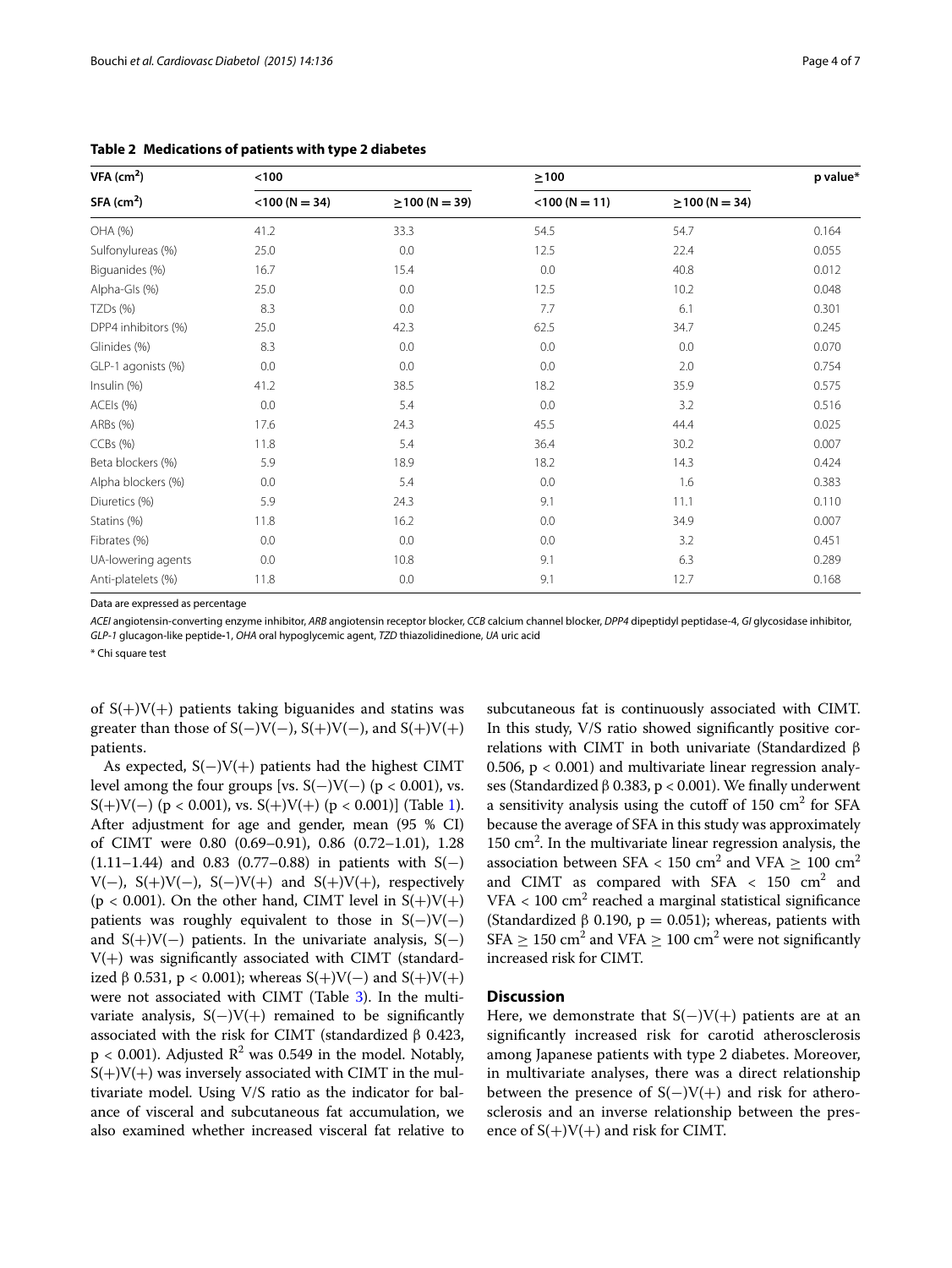| $VFA$ (cm <sup>2</sup> ) | $<$ 100 $\,$     |                     | $\geq$ 100       |                     | p value* |
|--------------------------|------------------|---------------------|------------------|---------------------|----------|
| $SFA$ (cm <sup>2</sup> ) | $<$ 100 (N = 34) | $\geq$ 100 (N = 39) | $<$ 100 (N = 11) | $\geq$ 100 (N = 34) |          |
| OHA (%)                  | 41.2             | 33.3                | 54.5             | 54.7                | 0.164    |
| Sulfonylureas (%)        | 25.0             | 0.0                 | 12.5             | 22.4                | 0.055    |
| Biguanides (%)           | 16.7             | 15.4                | 0.0              | 40.8                | 0.012    |
| Alpha-Gls (%)            | 25.0             | 0.0                 | 12.5             | 10.2                | 0.048    |
| TZDs(%)                  | 8.3              | 0.0                 | 7.7              | 6.1                 | 0.301    |
| DPP4 inhibitors (%)      | 25.0             | 42.3                | 62.5             | 34.7                | 0.245    |
| Glinides (%)             | 8.3              | 0.0                 | 0.0              | 0.0                 | 0.070    |
| GLP-1 agonists (%)       | 0.0              | 0.0                 | 0.0              | 2.0                 | 0.754    |
| Insulin (%)              | 41.2             | 38.5                | 18.2             | 35.9                | 0.575    |
| ACEIs (%)                | 0.0              | 5.4                 | 0.0              | 3.2                 | 0.516    |
| ARBs (%)                 | 17.6             | 24.3                | 45.5             | 44.4                | 0.025    |
| CCBs(%)                  | 11.8             | 5.4                 | 36.4             | 30.2                | 0.007    |
| Beta blockers (%)        | 5.9              | 18.9                | 18.2             | 14.3                | 0.424    |
| Alpha blockers (%)       | 0.0              | 5.4                 | 0.0              | 1.6                 | 0.383    |
| Diuretics (%)            | 5.9              | 24.3                | 9.1              | 11.1                | 0.110    |
| Statins (%)              | 11.8             | 16.2                | 0.0              | 34.9                | 0.007    |
| Fibrates (%)             | 0.0              | 0.0                 | 0.0              | 3.2                 | 0.451    |
| UA-lowering agents       | 0.0              | 10.8                | 9.1              | 6.3                 | 0.289    |
| Anti-platelets (%)       | 11.8             | 0.0                 | 9.1              | 12.7                | 0.168    |

<span id="page-3-0"></span>**Table 2 Medications of patients with type 2 diabetes**

Data are expressed as percentage

*ACEI* angiotensin-converting enzyme inhibitor, *ARB* angiotensin receptor blocker, *CCB* calcium channel blocker, *DPP4* dipeptidyl peptidase-4, *GI* glycosidase inhibitor, *GLP-1* glucagon-like peptide**-**1, *OHA* oral hypoglycemic agent, *TZD* thiazolidinedione, *UA* uric acid

\* Chi square test

of  $S(+)V(+)$  patients taking biguanides and statins was greater than those of  $S(-)V(-)$ ,  $S(+)V(-)$ , and  $S(+)V(+)$ patients.

As expected,  $S(-)V(+)$  patients had the highest CIMT level among the four groups [vs.  $S(-)V(-)$  (p < 0.001), vs. S(+)V(−) (p < 0.00[1](#page-2-1)), vs. S(+)V(+) (p < 0.001)] (Table 1). After adjustment for age and gender, mean (95 % CI) of CIMT were 0.80 (0.69–0.91), 0.86 (0.72–1.01), 1.28 (1.11–1.44) and 0.83 (0.77–0.88) in patients with S(−)  $V(-)$ , S(+)V(-), S(-)V(+) and S(+)V(+), respectively (p < 0.001). On the other hand, CIMT level in  $S(+)V(+)$ patients was roughly equivalent to those in  $S(-)V(-)$ and  $S(+)V(-)$  patients. In the univariate analysis,  $S(-)$  $V(+)$  was significantly associated with CIMT (standardized β 0.531, p < 0.001); whereas  $S(+)V(+)$  and  $S(+)V(+)$ were not associated with CIMT (Table [3](#page-4-0)). In the multivariate analysis,  $S(-)V(+)$  remained to be significantly associated with the risk for CIMT (standardized β 0.423,  $p < 0.001$ ). Adjusted  $R^2$  was 0.549 in the model. Notably,  $S(+)V(+)$  was inversely associated with CIMT in the multivariate model. Using V/S ratio as the indicator for balance of visceral and subcutaneous fat accumulation, we also examined whether increased visceral fat relative to

subcutaneous fat is continuously associated with CIMT. In this study, V/S ratio showed significantly positive correlations with CIMT in both univariate (Standardized β 0.506,  $p < 0.001$ ) and multivariate linear regression analyses (Standardized β 0.383, p < 0.001). We finally underwent a sensitivity analysis using the cutoff of  $150 \text{ cm}^2$  for SFA because the average of SFA in this study was approximately 150 cm<sup>2</sup>. In the multivariate linear regression analysis, the association between SFA <  $150 \text{ cm}^2$  and VFA  $\geq 100 \text{ cm}^2$ and CIMT as compared with SFA  $<$  150 cm<sup>2</sup> and  $VFA < 100 \text{ cm}^2$  reached a marginal statistical significance (Standardized  $\beta$  0.190,  $p = 0.051$ ); whereas, patients with  $SFA \ge 150$  cm<sup>2</sup> and VFA  $\ge 100$  cm<sup>2</sup> were not significantly increased risk for CIMT.

# **Discussion**

Here, we demonstrate that  $S(-)V(+)$  patients are at an significantly increased risk for carotid atherosclerosis among Japanese patients with type 2 diabetes. Moreover, in multivariate analyses, there was a direct relationship between the presence of  $S(-)V(+)$  and risk for atherosclerosis and an inverse relationship between the presence of  $S(+)V(+)$  and risk for CIMT.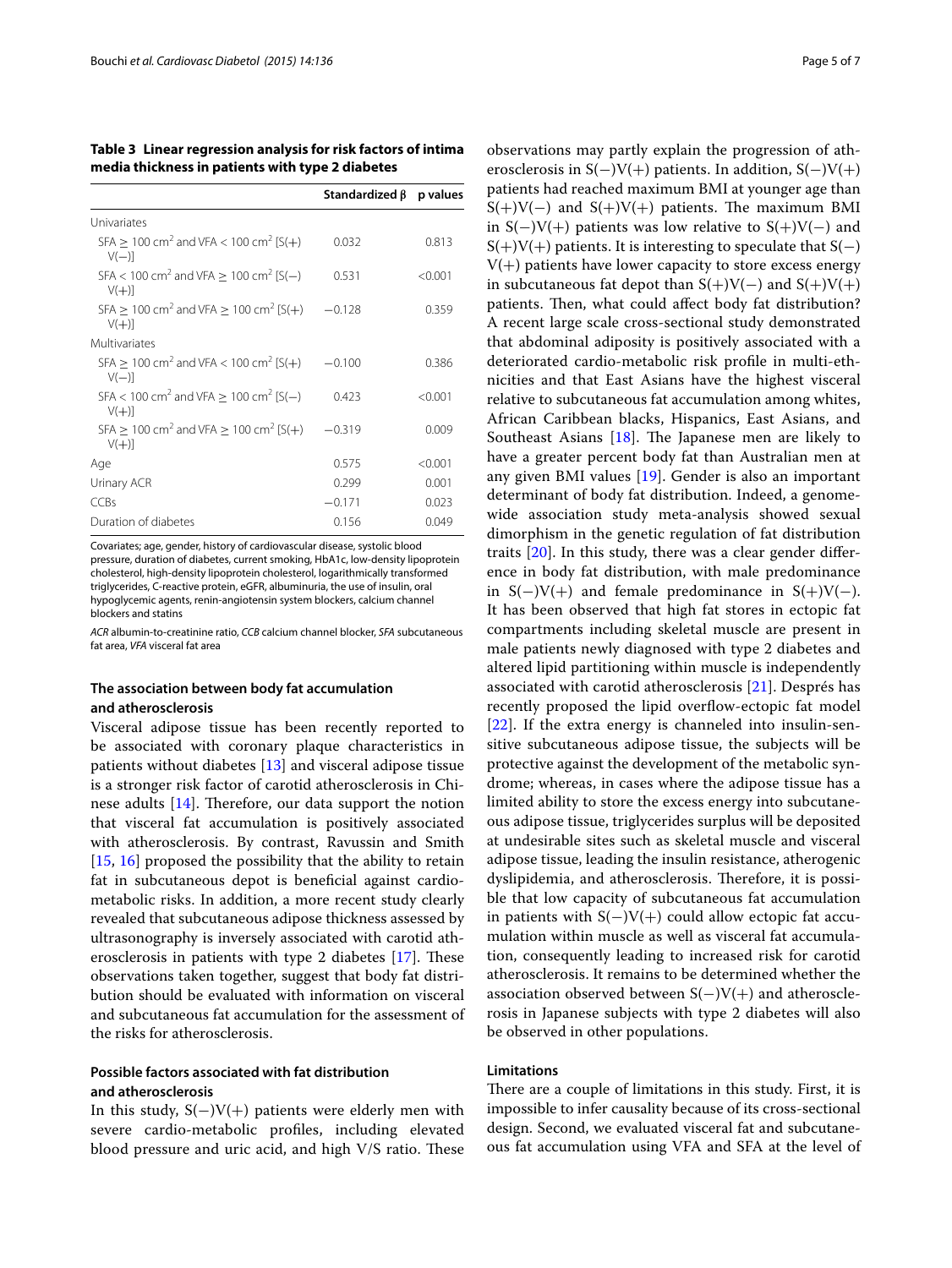<span id="page-4-0"></span>**Table 3 Linear regression analysis for risk factors of intima media thickness in patients with type 2 diabetes**

|                                                                                   | Standardized $\beta$ | p values |
|-----------------------------------------------------------------------------------|----------------------|----------|
| Univariates                                                                       |                      |          |
| SFA $> 100$ cm <sup>2</sup> and VFA $< 100$ cm <sup>2</sup> [S(+)<br>$V(-)$       | 0.032                | 0.813    |
| SFA < 100 cm <sup>2</sup> and VFA $\geq$ 100 cm <sup>2</sup> [S(-)<br>$V(+)$      | 0.531                | < 0.001  |
| $SFA \geq 100$ cm <sup>2</sup> and VFA $\geq 100$ cm <sup>2</sup> [S(+)<br>$V(+)$ | $-0.128$             | 0.359    |
| Multivariates                                                                     |                      |          |
| $SFA \ge 100$ cm <sup>2</sup> and VFA < 100 cm <sup>2</sup> [S(+)<br>$V(-)$       | $-0.100$             | 0.386    |
| SFA < 100 cm <sup>2</sup> and VFA > 100 cm <sup>2</sup> [S(-)<br>$V(+)$           | 0.423                | < 0.001  |
| SFA $> 100$ cm <sup>2</sup> and VFA $> 100$ cm <sup>2</sup> [S(+)<br>$V(+)$       | $-0.319$             | 0.009    |
| Age                                                                               | 0.575                | < 0.001  |
| Urinary ACR                                                                       | 0.299                | 0.001    |
| <b>CCBs</b>                                                                       | $-0.171$             | 0.023    |
| Duration of diabetes                                                              | 0.156                | 0.049    |

Covariates; age, gender, history of cardiovascular disease, systolic blood pressure, duration of diabetes, current smoking, HbA1c, low-density lipoprotein cholesterol, high-density lipoprotein cholesterol, logarithmically transformed triglycerides, C-reactive protein, eGFR, albuminuria, the use of insulin, oral hypoglycemic agents, renin-angiotensin system blockers, calcium channel blockers and statins

*ACR* albumin-to-creatinine ratio, *CCB* calcium channel blocker, *SFA* subcutaneous fat area, *VFA* visceral fat area

# **The association between body fat accumulation and atherosclerosis**

Visceral adipose tissue has been recently reported to be associated with coronary plaque characteristics in patients without diabetes [\[13](#page-5-10)] and visceral adipose tissue is a stronger risk factor of carotid atherosclerosis in Chinese adults [[14](#page-5-11)]. Therefore, our data support the notion that visceral fat accumulation is positively associated with atherosclerosis. By contrast, Ravussin and Smith [[15,](#page-6-0) [16\]](#page-6-1) proposed the possibility that the ability to retain fat in subcutaneous depot is beneficial against cardiometabolic risks. In addition, a more recent study clearly revealed that subcutaneous adipose thickness assessed by ultrasonography is inversely associated with carotid atherosclerosis in patients with type 2 diabetes [[17\]](#page-6-2). These observations taken together, suggest that body fat distribution should be evaluated with information on visceral and subcutaneous fat accumulation for the assessment of the risks for atherosclerosis.

# **Possible factors associated with fat distribution and atherosclerosis**

In this study,  $S(-)V(+)$  patients were elderly men with severe cardio-metabolic profiles, including elevated blood pressure and uric acid, and high V/S ratio. These

observations may partly explain the progression of atherosclerosis in  $S(-)V(+)$  patients. In addition,  $S(-)V(+)$ patients had reached maximum BMI at younger age than  $S(+)V(-)$  and  $S(+)V(+)$  patients. The maximum BMI in S(−)V(+) patients was low relative to  $S(+)V(−)$  and  $S(+)V(+)$  patients. It is interesting to speculate that  $S(-)$  $V(+)$  patients have lower capacity to store excess energy in subcutaneous fat depot than  $S(+)V(-)$  and  $S(+)V(+)$ patients. Then, what could affect body fat distribution? A recent large scale cross-sectional study demonstrated that abdominal adiposity is positively associated with a deteriorated cardio-metabolic risk profile in multi-ethnicities and that East Asians have the highest visceral relative to subcutaneous fat accumulation among whites, African Caribbean blacks, Hispanics, East Asians, and Southeast Asians [[18\]](#page-6-3). The Japanese men are likely to have a greater percent body fat than Australian men at any given BMI values [\[19](#page-6-4)]. Gender is also an important determinant of body fat distribution. Indeed, a genomewide association study meta-analysis showed sexual dimorphism in the genetic regulation of fat distribution traits [[20](#page-6-5)]. In this study, there was a clear gender difference in body fat distribution, with male predominance in  $S(-)V(+)$  and female predominance in  $S(+)V(-)$ . It has been observed that high fat stores in ectopic fat compartments including skeletal muscle are present in male patients newly diagnosed with type 2 diabetes and altered lipid partitioning within muscle is independently associated with carotid atherosclerosis [[21\]](#page-6-6). Després has recently proposed the lipid overflow-ectopic fat model [[22\]](#page-6-7). If the extra energy is channeled into insulin-sensitive subcutaneous adipose tissue, the subjects will be protective against the development of the metabolic syndrome; whereas, in cases where the adipose tissue has a limited ability to store the excess energy into subcutaneous adipose tissue, triglycerides surplus will be deposited at undesirable sites such as skeletal muscle and visceral adipose tissue, leading the insulin resistance, atherogenic dyslipidemia, and atherosclerosis. Therefore, it is possible that low capacity of subcutaneous fat accumulation in patients with  $S(-)V(+)$  could allow ectopic fat accumulation within muscle as well as visceral fat accumulation, consequently leading to increased risk for carotid atherosclerosis. It remains to be determined whether the association observed between  $S(-)V(+)$  and atherosclerosis in Japanese subjects with type 2 diabetes will also be observed in other populations.

# **Limitations**

There are a couple of limitations in this study. First, it is impossible to infer causality because of its cross-sectional design. Second, we evaluated visceral fat and subcutaneous fat accumulation using VFA and SFA at the level of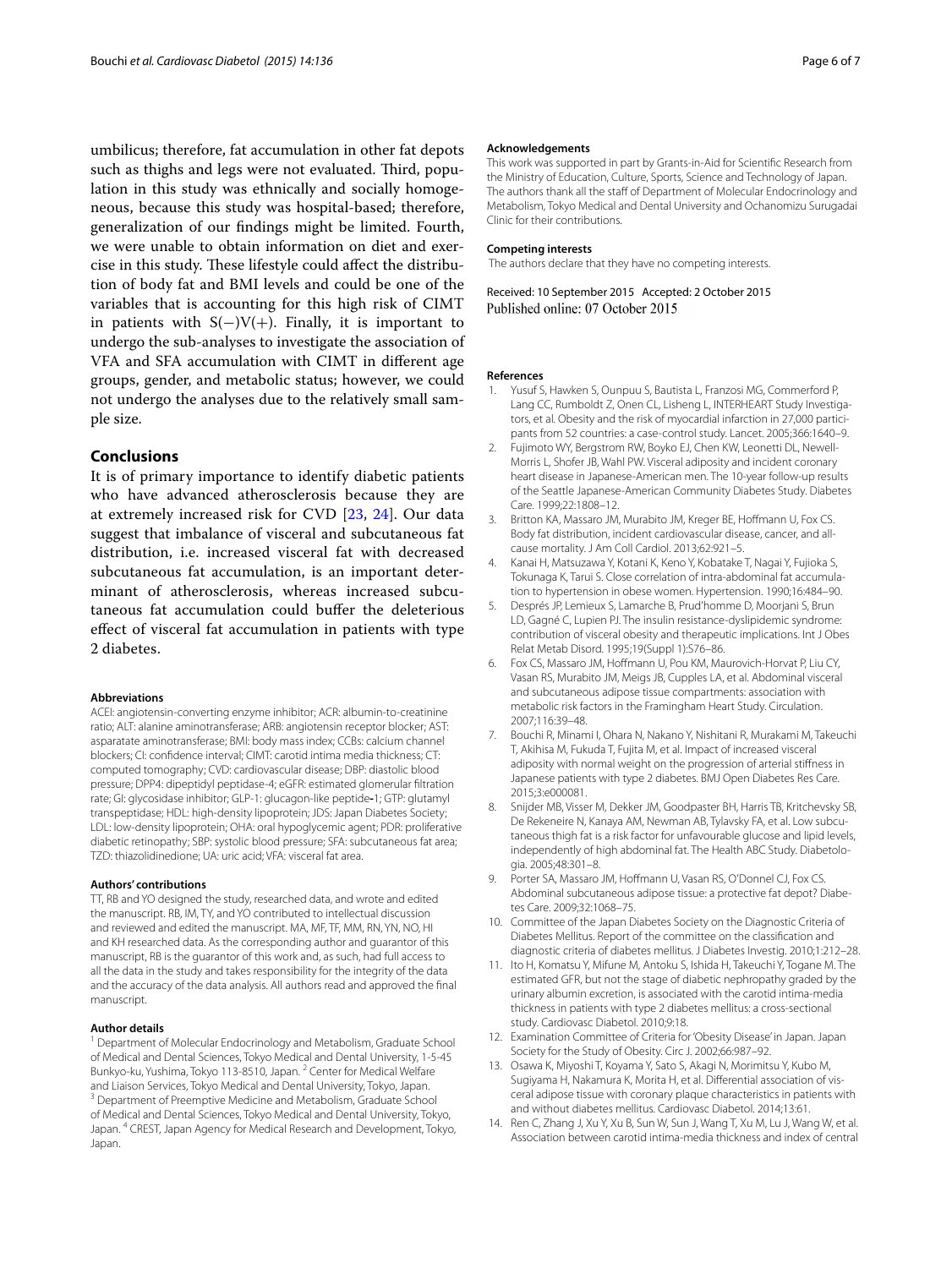umbilicus; therefore, fat accumulation in other fat depots such as thighs and legs were not evaluated. Third, population in this study was ethnically and socially homogeneous, because this study was hospital-based; therefore, generalization of our findings might be limited. Fourth, we were unable to obtain information on diet and exercise in this study. These lifestyle could affect the distribution of body fat and BMI levels and could be one of the variables that is accounting for this high risk of CIMT in patients with  $S(-)V(+)$ . Finally, it is important to undergo the sub-analyses to investigate the association of VFA and SFA accumulation with CIMT in different age groups, gender, and metabolic status; however, we could not undergo the analyses due to the relatively small sample size.

# **Conclusions**

It is of primary importance to identify diabetic patients who have advanced atherosclerosis because they are at extremely increased risk for CVD [[23,](#page-6-8) [24](#page-6-9)]. Our data suggest that imbalance of visceral and subcutaneous fat distribution, i.e. increased visceral fat with decreased subcutaneous fat accumulation, is an important determinant of atherosclerosis, whereas increased subcutaneous fat accumulation could buffer the deleterious effect of visceral fat accumulation in patients with type 2 diabetes.

### **Abbreviations**

ACEI: angiotensin-converting enzyme inhibitor; ACR: albumin-to-creatinine ratio; ALT: alanine aminotransferase; ARB: angiotensin receptor blocker; AST: asparatate aminotransferase; BMI: body mass index; CCBs: calcium channel blockers; CI: confidence interval; CIMT: carotid intima media thickness; CT: computed tomography; CVD: cardiovascular disease; DBP: diastolic blood pressure; DPP4: dipeptidyl peptidase-4; eGFR: estimated glomerular filtration rate; GI: glycosidase inhibitor; GLP-1: glucagon-like peptide**-**1; GTP: glutamyl transpeptidase; HDL: high-density lipoprotein; JDS: Japan Diabetes Society; LDL: low-density lipoprotein; OHA: oral hypoglycemic agent; PDR: proliferative diabetic retinopathy; SBP: systolic blood pressure; SFA: subcutaneous fat area; TZD: thiazolidinedione; UA: uric acid; VFA: visceral fat area.

#### **Authors' contributions**

TT, RB and YO designed the study, researched data, and wrote and edited the manuscript. RB, IM, TY, and YO contributed to intellectual discussion and reviewed and edited the manuscript. MA, MF, TF, MM, RN, YN, NO, HI and KH researched data. As the corresponding author and guarantor of this manuscript, RB is the guarantor of this work and, as such, had full access to all the data in the study and takes responsibility for the integrity of the data and the accuracy of the data analysis. All authors read and approved the final manuscript.

## **Author details**

<sup>1</sup> Department of Molecular Endocrinology and Metabolism, Graduate School of Medical and Dental Sciences, Tokyo Medical and Dental University, 1-5-45 Bunkyo-ku, Yushima, Tokyo 113-8510, Japan. <sup>2</sup> Center for Medical Welfare<br>and Liaison Services, Tokyo Medical and Dental University, Tokyo, Japan. <sup>3</sup> Department of Preemptive Medicine and Metabolism, Graduate School of Medical and Dental Sciences, Tokyo Medical and Dental University, Tokyo, Japan. <sup>4</sup> CREST, Japan Agency for Medical Research and Development, Tokyo, Japan.

#### **Acknowledgements**

This work was supported in part by Grants-in-Aid for Scientific Research from the Ministry of Education, Culture, Sports, Science and Technology of Japan. The authors thank all the staff of Department of Molecular Endocrinology and Metabolism, Tokyo Medical and Dental University and Ochanomizu Surugadai Clinic for their contributions.

#### **Competing interests**

The authors declare that they have no competing interests.

Received: 10 September 2015 Accepted: 2 October 2015 Published online: 07 October 2015

## **References**

- <span id="page-5-2"></span>1. Yusuf S, Hawken S, Ounpuu S, Bautista L, Franzosi MG, Commerford P, Lang CC, Rumboldt Z, Onen CL, Lisheng L, INTERHEART Study Investigators, et al. Obesity and the risk of myocardial infarction in 27,000 participants from 52 countries: a case-control study. Lancet. 2005;366:1640–9.
- 2. Fujimoto WY, Bergstrom RW, Boyko EJ, Chen KW, Leonetti DL, Newell-Morris L, Shofer JB, Wahl PW. Visceral adiposity and incident coronary heart disease in Japanese-American men. The 10-year follow-up results of the Seattle Japanese-American Community Diabetes Study. Diabetes Care. 1999;22:1808–12.
- 3. Britton KA, Massaro JM, Murabito JM, Kreger BE, Hoffmann U, Fox CS. Body fat distribution, incident cardiovascular disease, cancer, and allcause mortality. J Am Coll Cardiol. 2013;62:921–5.
- <span id="page-5-3"></span>4. Kanai H, Matsuzawa Y, Kotani K, Keno Y, Kobatake T, Nagai Y, Fujioka S, Tokunaga K, Tarui S. Close correlation of intra-abdominal fat accumulation to hypertension in obese women. Hypertension. 1990;16:484–90.
- <span id="page-5-4"></span>5. Després JP, Lemieux S, Lamarche B, Prud'homme D, Moorjani S, Brun LD, Gagné C, Lupien PJ. The insulin resistance-dyslipidemic syndrome: contribution of visceral obesity and therapeutic implications. Int J Obes Relat Metab Disord. 1995;19(Suppl 1):S76–86.
- <span id="page-5-5"></span>6. Fox CS, Massaro JM, Hoffmann U, Pou KM, Maurovich-Horvat P, Liu CY, Vasan RS, Murabito JM, Meigs JB, Cupples LA, et al. Abdominal visceral and subcutaneous adipose tissue compartments: association with metabolic risk factors in the Framingham Heart Study. Circulation. 2007;116:39–48.
- <span id="page-5-6"></span>7. Bouchi R, Minami I, Ohara N, Nakano Y, Nishitani R, Murakami M, Takeuchi T, Akihisa M, Fukuda T, Fujita M, et al. Impact of increased visceral adiposity with normal weight on the progression of arterial stiffness in Japanese patients with type 2 diabetes. BMJ Open Diabetes Res Care. 2015;3:e000081.
- <span id="page-5-7"></span>8. Snijder MB, Visser M, Dekker JM, Goodpaster BH, Harris TB, Kritchevsky SB, De Rekeneire N, Kanaya AM, Newman AB, Tylavsky FA, et al. Low subcutaneous thigh fat is a risk factor for unfavourable glucose and lipid levels, independently of high abdominal fat. The Health ABC Study. Diabetologia. 2005;48:301–8.
- <span id="page-5-8"></span>Porter SA, Massaro JM, Hoffmann U, Vasan RS, O'Donnel CJ, Fox CS. Abdominal subcutaneous adipose tissue: a protective fat depot? Diabetes Care. 2009;32:1068–75.
- <span id="page-5-9"></span>10. Committee of the Japan Diabetes Society on the Diagnostic Criteria of Diabetes Mellitus. Report of the committee on the classification and diagnostic criteria of diabetes mellitus. J Diabetes Investig. 2010;1:212–28.
- <span id="page-5-0"></span>11. Ito H, Komatsu Y, Mifune M, Antoku S, Ishida H, Takeuchi Y, Togane M. The estimated GFR, but not the stage of diabetic nephropathy graded by the urinary albumin excretion, is associated with the carotid intima-media thickness in patients with type 2 diabetes mellitus: a cross-sectional study. Cardiovasc Diabetol. 2010;9:18.
- <span id="page-5-1"></span>12. Examination Committee of Criteria for 'Obesity Disease' in Japan. Japan Society for the Study of Obesity. Circ J. 2002;66:987–92.
- <span id="page-5-10"></span>13. Osawa K, Miyoshi T, Koyama Y, Sato S, Akagi N, Morimitsu Y, Kubo M, Sugiyama H, Nakamura K, Morita H, et al. Differential association of visceral adipose tissue with coronary plaque characteristics in patients with and without diabetes mellitus. Cardiovasc Diabetol. 2014;13:61.
- <span id="page-5-11"></span>14. Ren C, Zhang J, Xu Y, Xu B, Sun W, Sun J, Wang T, Xu M, Lu J, Wang W, et al. Association between carotid intima-media thickness and index of central